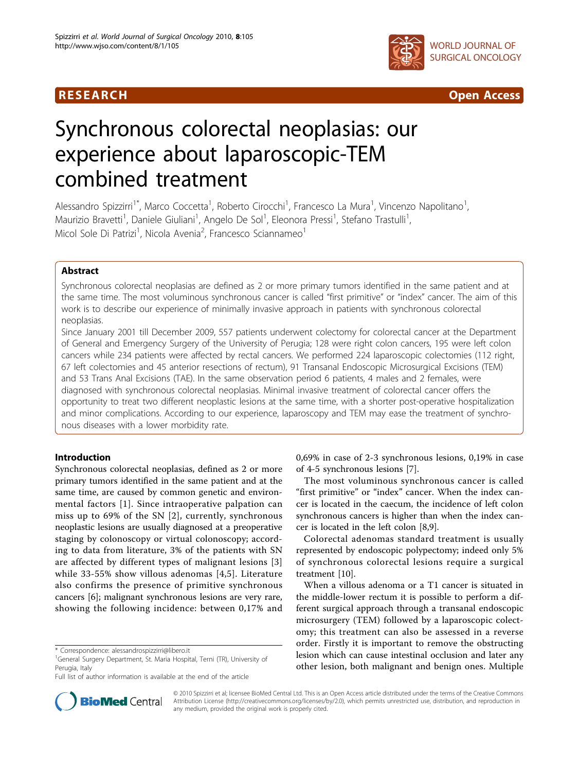



# Synchronous colorectal neoplasias: our experience about laparoscopic-TEM combined treatment

Alessandro Spizzirri<sup>1\*</sup>, Marco Coccetta<sup>1</sup>, Roberto Cirocchi<sup>1</sup>, Francesco La Mura<sup>1</sup>, Vincenzo Napolitano<sup>1</sup> , Maurizio Bravetti<sup>1</sup>, Daniele Giuliani<sup>1</sup>, Angelo De Sol<sup>1</sup>, Eleonora Pressi<sup>1</sup>, Stefano Trastulli<sup>1</sup> , Micol Sole Di Patrizi<sup>1</sup>, Nicola Avenia<sup>2</sup>, Francesco Sciannameo<sup>1</sup>

# Abstract

Synchronous colorectal neoplasias are defined as 2 or more primary tumors identified in the same patient and at the same time. The most voluminous synchronous cancer is called "first primitive" or "index" cancer. The aim of this work is to describe our experience of minimally invasive approach in patients with synchronous colorectal neoplasias.

Since January 2001 till December 2009, 557 patients underwent colectomy for colorectal cancer at the Department of General and Emergency Surgery of the University of Perugia; 128 were right colon cancers, 195 were left colon cancers while 234 patients were affected by rectal cancers. We performed 224 laparoscopic colectomies (112 right, 67 left colectomies and 45 anterior resections of rectum), 91 Transanal Endoscopic Microsurgical Excisions (TEM) and 53 Trans Anal Excisions (TAE). In the same observation period 6 patients, 4 males and 2 females, were diagnosed with synchronous colorectal neoplasias. Minimal invasive treatment of colorectal cancer offers the opportunity to treat two different neoplastic lesions at the same time, with a shorter post-operative hospitalization and minor complications. According to our experience, laparoscopy and TEM may ease the treatment of synchronous diseases with a lower morbidity rate.

# Introduction

Synchronous colorectal neoplasias, defined as 2 or more primary tumors identified in the same patient and at the same time, are caused by common genetic and environmental factors [\[1\]](#page-3-0). Since intraoperative palpation can miss up to 69% of the SN [[2\]](#page-3-0), currently, synchronous neoplastic lesions are usually diagnosed at a preoperative staging by colonoscopy or virtual colonoscopy; according to data from literature, 3% of the patients with SN are affected by different types of malignant lesions [\[3](#page-3-0)] while 33-55% show villous adenomas [[4,5\]](#page-3-0). Literature also confirms the presence of primitive synchronous cancers [\[6](#page-3-0)]; malignant synchronous lesions are very rare, showing the following incidence: between 0,17% and

0,69% in case of 2-3 synchronous lesions, 0,19% in case of 4-5 synchronous lesions [\[7\]](#page-3-0).

The most voluminous synchronous cancer is called "first primitive" or "index" cancer. When the index cancer is located in the caecum, the incidence of left colon synchronous cancers is higher than when the index cancer is located in the left colon [[8](#page-3-0),[9](#page-3-0)].

Colorectal adenomas standard treatment is usually represented by endoscopic polypectomy; indeed only 5% of synchronous colorectal lesions require a surgical treatment [[10\]](#page-3-0).

When a villous adenoma or a T1 cancer is situated in the middle-lower rectum it is possible to perform a different surgical approach through a transanal endoscopic microsurgery (TEM) followed by a laparoscopic colectomy; this treatment can also be assessed in a reverse order. Firstly it is important to remove the obstructing lesion which can cause intestinal occlusion and later any other lesion, both malignant and benign ones. Multiple



© 2010 Spizzirri et al; licensee BioMed Central Ltd. This is an Open Access article distributed under the terms of the Creative Commons Attribution License [\(http://creativecommons.org/licenses/by/2.0](http://creativecommons.org/licenses/by/2.0)), which permits unrestricted use, distribution, and reproduction in any medium, provided the original work is properly cited.

<sup>\*</sup> Correspondence: [alessandrospizzirri@libero.it](mailto:alessandrospizzirri@libero.it)

<sup>&</sup>lt;sup>1</sup>General Surgery Department, St. Maria Hospital, Terni (TR), University of Perugia, Italy

Full list of author information is available at the end of the article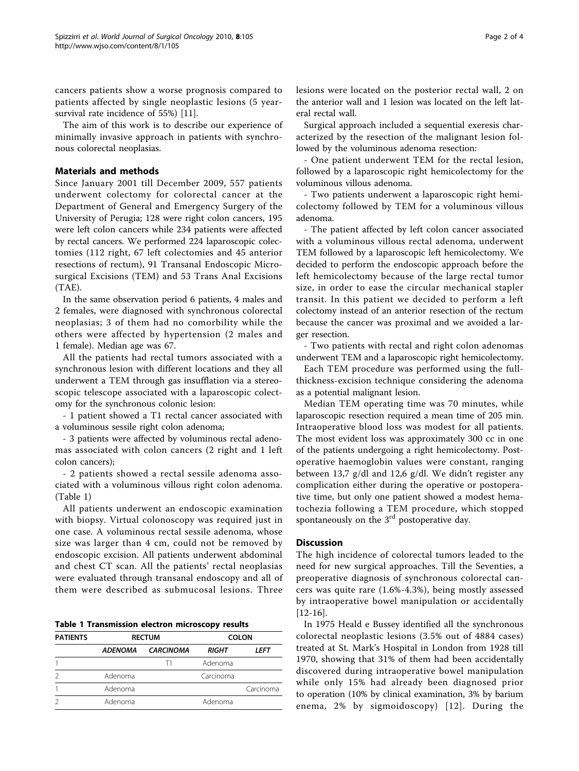cancers patients show a worse prognosis compared to patients affected by single neoplastic lesions (5 yearsurvival rate incidence of 55%) [\[11\]](#page-3-0).

The aim of this work is to describe our experience of minimally invasive approach in patients with synchronous colorectal neoplasias.

# Materials and methods

Since January 2001 till December 2009, 557 patients underwent colectomy for colorectal cancer at the Department of General and Emergency Surgery of the University of Perugia; 128 were right colon cancers, 195 were left colon cancers while 234 patients were affected by rectal cancers. We performed 224 laparoscopic colectomies (112 right, 67 left colectomies and 45 anterior resections of rectum), 91 Transanal Endoscopic Microsurgical Excisions (TEM) and 53 Trans Anal Excisions (TAE).

In the same observation period 6 patients, 4 males and 2 females, were diagnosed with synchronous colorectal neoplasias; 3 of them had no comorbility while the others were affected by hypertension (2 males and 1 female). Median age was 67.

All the patients had rectal tumors associated with a synchronous lesion with different locations and they all underwent a TEM through gas insufflation via a stereoscopic telescope associated with a laparoscopic colectomy for the synchronous colonic lesion:

- 1 patient showed a T1 rectal cancer associated with a voluminous sessile right colon adenoma;

- 3 patients were affected by voluminous rectal adenomas associated with colon cancers (2 right and 1 left colon cancers);

- 2 patients showed a rectal sessile adenoma associated with a voluminous villous right colon adenoma. (Table 1)

All patients underwent an endoscopic examination with biopsy. Virtual colonoscopy was required just in one case. A voluminous rectal sessile adenoma, whose size was larger than 4 cm, could not be removed by endoscopic excision. All patients underwent abdominal and chest CT scan. All the patients' rectal neoplasias were evaluated through transanal endoscopy and all of them were described as submucosal lesions. Three

| <b>PATIENTS</b> | <b>RECTUM</b>  |                  | <b>COLON</b> |             |  |
|-----------------|----------------|------------------|--------------|-------------|--|
|                 | <b>ADENOMA</b> | <b>CARCINOMA</b> | <b>RIGHT</b> | <b>LEFT</b> |  |
|                 |                | Τ1               | Adenoma      |             |  |
|                 | Adenoma        |                  | Carcinoma    |             |  |
|                 | Adenoma        |                  |              | Carcinoma   |  |
|                 | Adenoma        |                  | Adenoma      |             |  |

lesions were located on the posterior rectal wall, 2 on the anterior wall and 1 lesion was located on the left lateral rectal wall.

Surgical approach included a sequential exeresis characterized by the resection of the malignant lesion followed by the voluminous adenoma resection:

- One patient underwent TEM for the rectal lesion, followed by a laparoscopic right hemicolectomy for the voluminous villous adenoma.

- Two patients underwent a laparoscopic right hemicolectomy followed by TEM for a voluminous villous adenoma.

- The patient affected by left colon cancer associated with a voluminous villous rectal adenoma, underwent TEM followed by a laparoscopic left hemicolectomy. We decided to perform the endoscopic approach before the left hemicolectomy because of the large rectal tumor size, in order to ease the circular mechanical stapler transit. In this patient we decided to perform a left colectomy instead of an anterior resection of the rectum because the cancer was proximal and we avoided a larger resection.

- Two patients with rectal and right colon adenomas underwent TEM and a laparoscopic right hemicolectomy.

Each TEM procedure was performed using the fullthickness-excision technique considering the adenoma as a potential malignant lesion.

Median TEM operating time was 70 minutes, while laparoscopic resection required a mean time of 205 min. Intraoperative blood loss was modest for all patients. The most evident loss was approximately 300 cc in one of the patients undergoing a right hemicolectomy. Postoperative haemoglobin values were constant, ranging between 13,7 g/dl and 12,6 g/dl. We didn't register any complication either during the operative or postoperative time, but only one patient showed a modest hematochezia following a TEM procedure, which stopped spontaneously on the  $3<sup>rd</sup>$  postoperative day.

# **Discussion**

The high incidence of colorectal tumors leaded to the need for new surgical approaches. Till the Seventies, a preoperative diagnosis of synchronous colorectal cancers was quite rare (1.6%-4.3%), being mostly assessed by intraoperative bowel manipulation or accidentally [[12-16\]](#page-3-0).

In 1975 Heald e Bussey identified all the synchronous colorectal neoplastic lesions (3.5% out of 4884 cases) treated at St. Mark's Hospital in London from 1928 till 1970, showing that 31% of them had been accidentally discovered during intraoperative bowel manipulation while only 15% had already been diagnosed prior to operation (10% by clinical examination, 3% by barium enema, 2% by sigmoidoscopy) [[12](#page-3-0)]. During the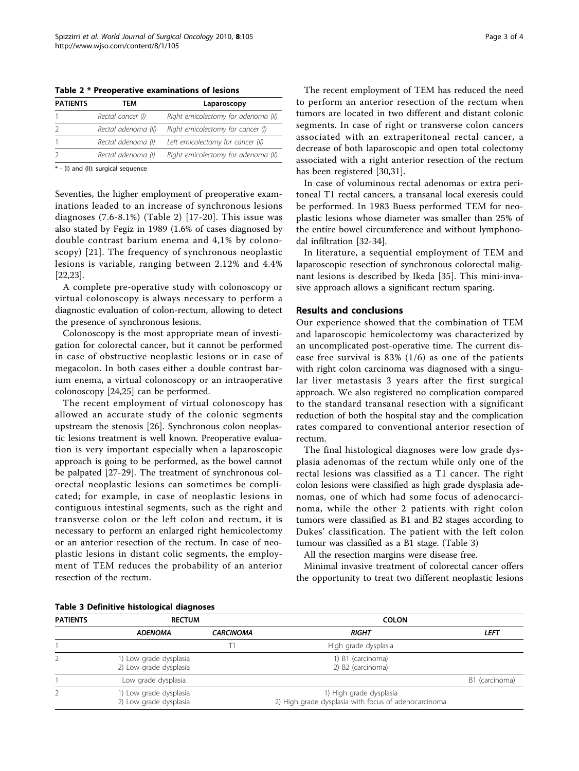Table 2 \* Preoperative examinations of lesions

| Rectal cancer (I)                                       | TEM                 | <b>PATIENTS</b> | Laparoscopy                         |
|---------------------------------------------------------|---------------------|-----------------|-------------------------------------|
|                                                         |                     |                 | Right emicolectomy for adenoma (II) |
|                                                         | Rectal adenoma (II) |                 | Right emicolectomy for cancer (I)   |
| Left emicolectomy for cancer (II)<br>Rectal adenoma (I) |                     |                 |                                     |
| Rectal adenoma (I)                                      |                     |                 | Right emicolectomy for adenoma (II) |

\* - (I) and (II): surgical sequence

Seventies, the higher employment of preoperative examinations leaded to an increase of synchronous lesions diagnoses  $(7.6-8.1\%)$  (Table 2) [\[17-20\]](#page-3-0). This issue was also stated by Fegiz in 1989 (1.6% of cases diagnosed by double contrast barium enema and 4,1% by colonoscopy) [[21\]](#page-3-0). The frequency of synchronous neoplastic lesions is variable, ranging between 2.12% and 4.4% [[22,23\]](#page-3-0).

A complete pre-operative study with colonoscopy or virtual colonoscopy is always necessary to perform a diagnostic evaluation of colon-rectum, allowing to detect the presence of synchronous lesions.

Colonoscopy is the most appropriate mean of investigation for colorectal cancer, but it cannot be performed in case of obstructive neoplastic lesions or in case of megacolon. In both cases either a double contrast barium enema, a virtual colonoscopy or an intraoperative colonoscopy [\[24,25](#page-3-0)] can be performed.

The recent employment of virtual colonoscopy has allowed an accurate study of the colonic segments upstream the stenosis [\[26\]](#page-3-0). Synchronous colon neoplastic lesions treatment is well known. Preoperative evaluation is very important especially when a laparoscopic approach is going to be performed, as the bowel cannot be palpated [\[27](#page-3-0)-[29\]](#page-3-0). The treatment of synchronous colorectal neoplastic lesions can sometimes be complicated; for example, in case of neoplastic lesions in contiguous intestinal segments, such as the right and transverse colon or the left colon and rectum, it is necessary to perform an enlarged right hemicolectomy or an anterior resection of the rectum. In case of neoplastic lesions in distant colic segments, the employment of TEM reduces the probability of an anterior resection of the rectum.

The recent employment of TEM has reduced the need to perform an anterior resection of the rectum when tumors are located in two different and distant colonic segments. In case of right or transverse colon cancers associated with an extraperitoneal rectal cancer, a decrease of both laparoscopic and open total colectomy associated with a right anterior resection of the rectum has been registered [\[30,31\]](#page-3-0).

In case of voluminous rectal adenomas or extra peritoneal T1 rectal cancers, a transanal local exeresis could be performed. In 1983 Buess performed TEM for neoplastic lesions whose diameter was smaller than 25% of the entire bowel circumference and without lymphonodal infiltration [[32-34\]](#page-3-0).

In literature, a sequential employment of TEM and laparoscopic resection of synchronous colorectal malignant lesions is described by Ikeda [[35](#page-3-0)]. This mini-invasive approach allows a significant rectum sparing.

## Results and conclusions

Our experience showed that the combination of TEM and laparoscopic hemicolectomy was characterized by an uncomplicated post-operative time. The current disease free survival is 83% (1/6) as one of the patients with right colon carcinoma was diagnosed with a singular liver metastasis 3 years after the first surgical approach. We also registered no complication compared to the standard transanal resection with a significant reduction of both the hospital stay and the complication rates compared to conventional anterior resection of rectum.

The final histological diagnoses were low grade dysplasia adenomas of the rectum while only one of the rectal lesions was classified as a T1 cancer. The right colon lesions were classified as high grade dysplasia adenomas, one of which had some focus of adenocarcinoma, while the other 2 patients with right colon tumors were classified as B1 and B2 stages according to Dukes' classification. The patient with the left colon tumour was classified as a B1 stage. (Table 3)

All the resection margins were disease free.

Minimal invasive treatment of colorectal cancer offers the opportunity to treat two different neoplastic lesions

| <b>PATIENTS</b> | <b>RECTUM</b>                                    |                  | <b>COLON</b>                                                                    |                |
|-----------------|--------------------------------------------------|------------------|---------------------------------------------------------------------------------|----------------|
|                 | <b>ADENOMA</b>                                   | <b>CARCINOMA</b> | RIGHT                                                                           | <b>LEFT</b>    |
|                 |                                                  |                  | High grade dysplasia                                                            |                |
|                 | 1) Low grade dysplasia<br>2) Low grade dysplasia |                  | 1) B1 (carcinoma)<br>2) B2 (carcinoma)                                          |                |
|                 | Low grade dysplasia                              |                  |                                                                                 | B1 (carcinoma) |
|                 | 1) Low grade dysplasia<br>2) Low grade dysplasia |                  | 1) High grade dysplasia<br>2) High grade dysplasia with focus of adenocarcinoma |                |

# Table 3 Definitive histological diagnoses